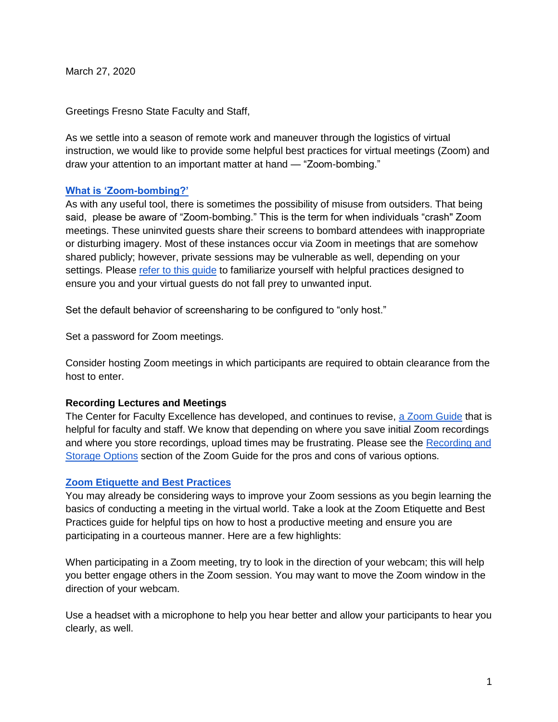March 27, 2020

Greetings Fresno State Faculty and Staff,

As we settle into a season of remote work and maneuver through the logistics of virtual instruction, we would like to provide some helpful best practices for virtual meetings (Zoom) and draw your attention to an important matter at hand — "Zoom-bombing."

## **[What is 'Zoom-bombing?'](https://fresnostate.teamdynamix.com/TDClient/1922/Portal/KB/ArticleDet?ID=103258)**

As with any useful tool, there is sometimes the possibility of misuse from outsiders. That being said, please be aware of "Zoom-bombing." This is the term for when individuals "crash" Zoom meetings. These uninvited guests share their screens to bombard attendees with inappropriate or disturbing imagery. Most of these instances occur via Zoom in meetings that are somehow shared publicly; however, private sessions may be vulnerable as well, depending on your settings. Please [refer to this guide](https://fresnostate.teamdynamix.com/TDClient/1922/Portal/KB/ArticleDet?ID=103258) to familiarize yourself with helpful practices designed to ensure you and your virtual guests do not fall prey to unwanted input.

Set the default behavior of screensharing to be configured to "only host."

Set a password for Zoom meetings.

Consider hosting Zoom meetings in which participants are required to obtain clearance from the host to enter.

## **Recording Lectures and Meetings**

The Center for Faculty Excellence has developed, and continues to revise, [a Zoom Guide](https://docs.google.com/document/d/1v_i9yy_5uvVod4xEKfAl4t6ietclLJ0Grw3Npdokro0/edit) that is helpful for faculty and staff. We know that depending on where you save initial Zoom recordings and where you store recordings, upload times may be frustrating. Please see the [Recording and](https://docs.google.com/document/d/1xBunqugW1F18kMLsqMWCl2npEABSDwRjxTA16w_1FMg/edit)  [Storage Options](https://docs.google.com/document/d/1xBunqugW1F18kMLsqMWCl2npEABSDwRjxTA16w_1FMg/edit) section of the Zoom Guide for the pros and cons of various options.

## **[Zoom Etiquette and Best Practices](https://fresnostate.teamdynamix.com/TDClient/1922/Portal/KB/ArticleDet?ID=103278)**

You may already be considering ways to improve your Zoom sessions as you begin learning the basics of conducting a meeting in the virtual world. Take a look at the Zoom Etiquette and Best Practices guide for helpful tips on how to host a productive meeting and ensure you are participating in a courteous manner. Here are a few highlights:

When participating in a Zoom meeting, try to look in the direction of your webcam; this will help you better engage others in the Zoom session. You may want to move the Zoom window in the direction of your webcam.

Use a headset with a microphone to help you hear better and allow your participants to hear you clearly, as well.